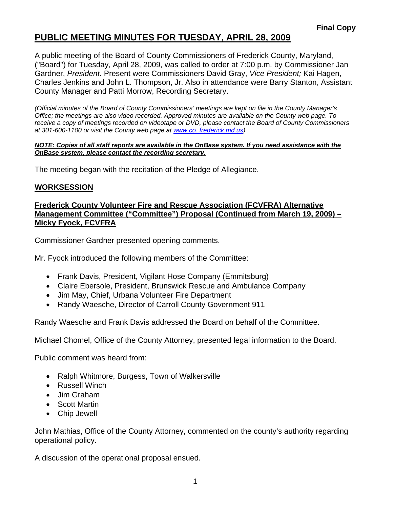# **PUBLIC MEETING MINUTES FOR TUESDAY, APRIL 28, 2009**

A public meeting of the Board of County Commissioners of Frederick County, Maryland, ("Board") for Tuesday, April 28, 2009, was called to order at 7:00 p.m. by Commissioner Jan Gardner, *President*. Present were Commissioners David Gray, *Vice President;* Kai Hagen, Charles Jenkins and John L. Thompson, Jr. Also in attendance were Barry Stanton, Assistant County Manager and Patti Morrow, Recording Secretary.

*(Official minutes of the Board of County Commissioners' meetings are kept on file in the County Manager's Office; the meetings are also video recorded. Approved minutes are available on the County web page. To receive a copy of meetings recorded on videotape or DVD, please contact the Board of County Commissioners at 301-600-1100 or visit the County web page at [www.co](http://www.co/). frederick.md.us)* 

#### *NOTE: Copies of all staff reports are available in the OnBase system. If you need assistance with the OnBase system, please contact the recording secretary.*

The meeting began with the recitation of the Pledge of Allegiance.

#### **WORKSESSION**

#### **Frederick County Volunteer Fire and Rescue Association (FCVFRA) Alternative Management Committee ("Committee") Proposal (Continued from March 19, 2009) – Micky Fyock, FCVFRA**

Commissioner Gardner presented opening comments.

Mr. Fyock introduced the following members of the Committee:

- Frank Davis, President, Vigilant Hose Company (Emmitsburg)
- Claire Ebersole, President, Brunswick Rescue and Ambulance Company
- Jim May, Chief, Urbana Volunteer Fire Department
- Randy Waesche, Director of Carroll County Government 911

Randy Waesche and Frank Davis addressed the Board on behalf of the Committee.

Michael Chomel, Office of the County Attorney, presented legal information to the Board.

Public comment was heard from:

- Ralph Whitmore, Burgess, Town of Walkersville
- Russell Winch
- Jim Graham
- Scott Martin
- Chip Jewell

John Mathias, Office of the County Attorney, commented on the county's authority regarding operational policy.

A discussion of the operational proposal ensued.